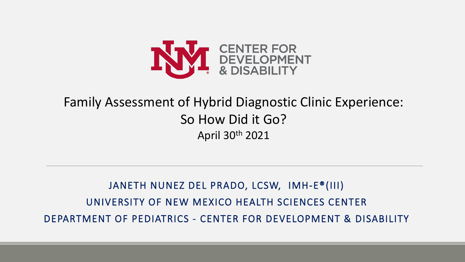

#### Family Assessment of Hybrid Diagnostic Clinic Experience: So How Did it Go? April 30th 2021

JANETH NUNEZ DEL PRADO, LCSW, IMH-E®(III) UNIVERSITY OF NEW MEXICO HEALTH SCIENCES CENTER DEPARTMENT OF PEDIATRICS - CENTER FOR DEVELOPMENT & DISABILITY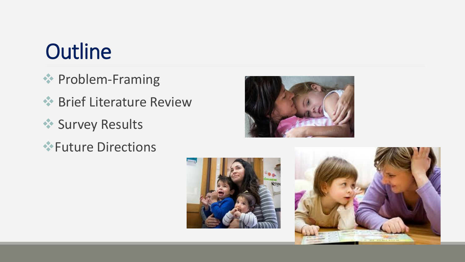## **Outline**

- **External Problem-Framing**
- **◆ Brief Literature Review**
- **Survey Results**
- Future Directions





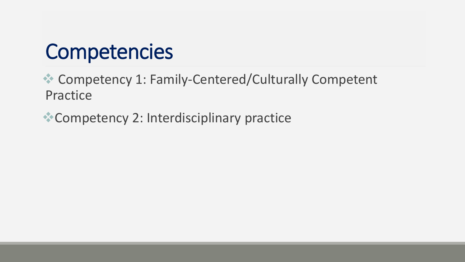### **Competencies**

 Competency 1: Family-Centered/Culturally Competent Practice

Competency 2: Interdisciplinary practice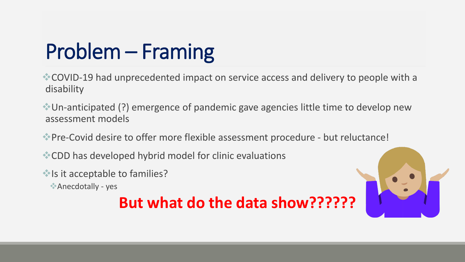# Problem – Framing

COVID-19 had unprecedented impact on service access and delivery to people with a disability

Un-anticipated (?) emergence of pandemic gave agencies little time to develop new assessment models

Pre-Covid desire to offer more flexible assessment procedure - but reluctance!

CDD has developed hybrid model for clinic evaluations

Is it acceptable to families?

Anecdotally - yes

#### **But what do the data show??????**

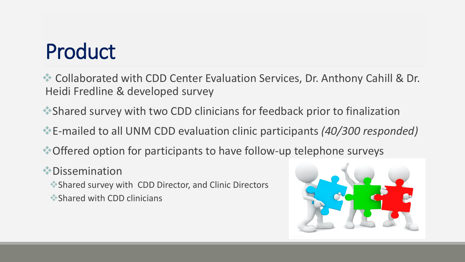## Product

Collaborated with CDD Center Evaluation Services, Dr. Anthony Cahill & Dr. Heidi Fredline & developed survey

- Shared survey with two CDD clinicians for feedback prior to finalization
- E-mailed to all UNM CDD evaluation clinic participants *(40/300 responded)*
- Offered option for participants to have follow-up telephone surveys
- Dissemination
	- Shared survey with CDD Director, and Clinic Directors
	- Shared with CDD clinicians

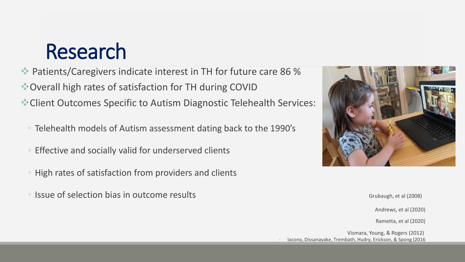### Research

 Patients/Caregivers indicate interest in TH for future care 86 % Overall high rates of satisfaction for TH during COVID Client Outcomes Specific to Autism Diagnostic Telehealth Services:

- Telehealth models of Autism assessment dating back to the 1990's
- Effective and socially valid for underserved clients
- High rates of satisfaction from providers and clients
- Issue of selection bias in outcome results Grand Controller Controller Controller Grubaugh, et al (2008)



Andrews, et al (2020)

Rametta, et al (2020)

Vismara, Young, & Rogers (2012) lacono, Dissanayake, Trembath, Hudry, Erickson, & Spong (2016)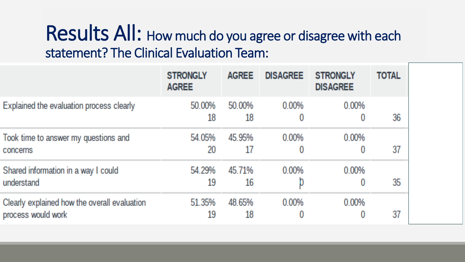### Results All: How much do you agree or disagree with each statement? The Clinical Evaluation Team:

|                                                                    | <b>STRONGLY</b><br><b>AGREE</b> | <b>AGREE</b> | <b>DISAGREE</b> | <b>STRONGLY</b><br><b>DISAGREE</b> | <b>TOTAL</b> |
|--------------------------------------------------------------------|---------------------------------|--------------|-----------------|------------------------------------|--------------|
| Explained the evaluation process clearly                           | 50.00%<br>18                    | 50.00%<br>18 | 0.00%<br>Ü      | 0.00%                              | 36           |
| Took time to answer my questions and<br>concerns                   | 54.05%<br>20                    | 45.95%<br>17 | 0.00%<br>0      | 0.00%                              | 37           |
| Shared information in a way I could<br>understand                  | 54.29%<br>19                    | 45.71%<br>16 | 0.00%           | 0.00%<br>Ü                         | 35           |
| Clearly explained how the overall evaluation<br>process would work | 51.35%<br>19                    | 48.65%<br>18 | 0.00%<br>0      | 0.00%                              | 37           |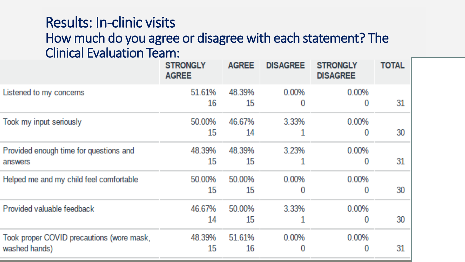#### Results: In-clinic visits How much do you agree or disagree with each statement? The Clinical Evaluation Team:

|                                                            | <b>STRONGLY</b><br><b>AGREE</b> | <b>AGREE</b> | <b>DISAGREE</b> | <b>STRONGLY</b><br><b>DISAGREE</b> | <b>TOTAL</b> |
|------------------------------------------------------------|---------------------------------|--------------|-----------------|------------------------------------|--------------|
| Listened to my concerns                                    | 51.61%<br>16                    | 48.39%<br>15 | 0.00%<br>0      | 0.00%<br>0                         | 31           |
| Took my input seriously                                    | 50.00%<br>15                    | 46.67%<br>14 | 3.33%           | 0.00%<br>0                         | 30           |
| Provided enough time for questions and<br>answers          | 48.39%<br>15                    | 48.39%<br>15 | 3.23%           | 0.00%<br>0                         | 31           |
| Helped me and my child feel comfortable                    | 50.00%<br>15                    | 50.00%<br>15 | 0.00%<br>0      | 0.00%<br>0                         | 30           |
| Provided valuable feedback                                 | 46.67%<br>14                    | 50.00%<br>15 | 3.33%           | 0.00%<br>0                         | 30           |
| Took proper COVID precautions (wore mask,<br>washed hands) | 48.39%<br>15                    | 51.61%<br>16 | 0.00%<br>0      | 0.00%<br>0                         | 31           |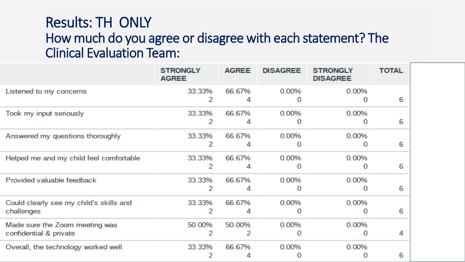#### Results: TH ONLY How much do you agree or disagree with each statement? The Clinical Evaluation Team:

|                                                          | <b>STRONGLY</b><br><b>AGREE</b> | <b>AGREE</b> | <b>DISAGREE</b> | <b>STRONGLY</b><br><b>DISAGREE</b> | <b>TOTAL</b> |
|----------------------------------------------------------|---------------------------------|--------------|-----------------|------------------------------------|--------------|
| Listened to my concerns                                  | 33.33%<br>2                     | 66.67%<br>4  | 0.00%           | 0.00%                              | 6            |
| Took my input seriously                                  | 33.33%<br>2                     | 66.67%<br>4  | 0.00%           | 0.00%                              | 6            |
| Answered my questions thoroughly                         | 33.33%<br>2                     | 66.67%<br>4  | 0.00%           | 0.00%                              | 6            |
| Helped me and my child feel comfortable                  | 33.33%<br>2                     | 66.67%<br>4  | 0.00%           | 0.00%                              | 6            |
| Provided valuable feedback                               | 33.33%<br>2                     | 66.67%<br>4  | 0.00%           | 0.00%                              | 6            |
| Could clearly see my child's skills and<br>challenges    | 33.33%<br>2                     | 66.67%<br>4  | 0.00%           | 0.00%                              | 6            |
| Made sure the Zoom meeting was<br>confidential & private | 50.00%<br>2                     | 50.00%<br>2  | 0.00%           | 0.00%                              | 4            |
| Overall, the technology worked well                      | 33.33%                          | 66.67%       | 0.00%           | 0.00%                              | 6            |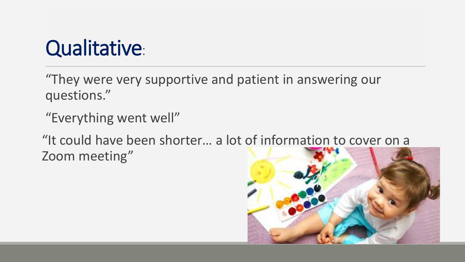### Qualitative:

"They were very supportive and patient in answering our questions."

"Everything went well"

"It could have been shorter… a lot of information to cover on a Zoom meeting"

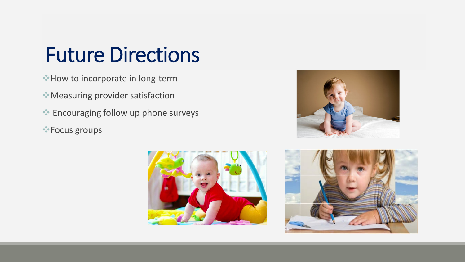### Future Directions

- How to incorporate in long-term
- Measuring provider satisfaction
- Encouraging follow up phone surveys
- Focus groups





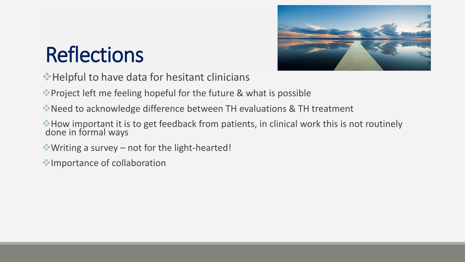

# **Reflections**

- Helpful to have data for hesitant clinicians
- Project left me feeling hopeful for the future & what is possible
- Need to acknowledge difference between TH evaluations & TH treatment
- How important it is to get feedback from patients, in clinical work this is not routinely done in formal ways
- Writing a survey not for the light-hearted!
- Importance of collaboration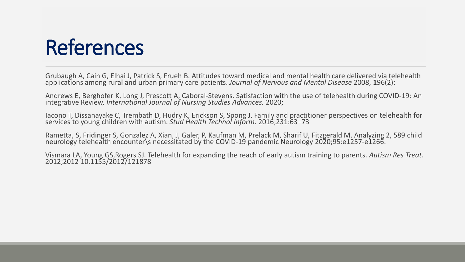### References

Grubaugh A, Cain G, Elhai J, Patrick S, Frueh B. Attitudes toward medical and mental health care delivered via telehealth applications among rural and urban primary care patients. *Journal of Nervous and Mental Disease* 2008, 196(2):

Andrews E, Berghofer K, Long J, Prescott A, Caboral-Stevens. Satisfaction with the use of telehealth during COVID-19: An integrative Review, *International Journal of Nursing Studies Advances.* 2020;

Iacono T, Dissanayake C, Trembath D, Hudry K, Erickson S, Spong J. Family and practitioner perspectives on telehealth for services to young children with autism. *Stud Health Technol Inform*. 2016;231:63–73

Rametta, S, Fridinger S, Gonzalez A, Xian, J, Galer, P, Kaufman M, Prelack M, Sharif U, Fitzgerald M. Analyzing 2, 589 child<br>neurology telehealth encounter\s necessitated by the COVID-19 pandemic Neurology 2020;95:e1257-e1

Vismara LA, Young GS,Rogers SJ. Telehealth for expanding the reach of early autism training to parents. *Autism Res Treat*. 2012;2012 10.1155/2012/121878